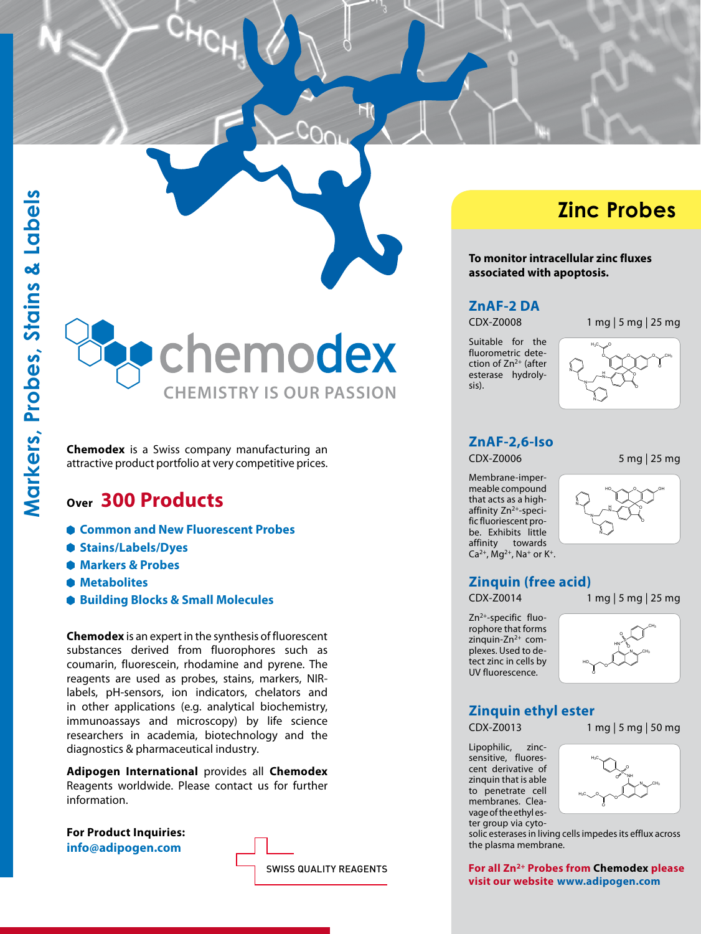chemodex **chemistry is our passion**

**Chemodex** is a Swiss company manufacturing an attractive product portfolio at very competitive prices.

# **Over 300 Products**

- **Common and New Fluorescent Probes**
- **Stains/Labels/Dyes**
- **Markers & Probes**
- **Metabolites**
- **Building Blocks & Small Molecules**

**Chemodex** is an expert in the synthesis of fluorescent substances derived from fluorophores such as coumarin, fluorescein, rhodamine and pyrene. The reagents are used as probes, stains, markers, NIRlabels, pH-sensors, ion indicators, chelators and in other applications (e.g. analytical biochemistry, immunoassays and microscopy) by life science researchers in academia, biotechnology and the diagnostics & pharmaceutical industry.

**Adipogen International** provides all **Chemodex** Reagents worldwide. Please contact us for further information.

**For Product Inquiries: info@adipogen.com**



# **Zinc Probes**

**To monitor intracellular zinc fluxes associated with apoptosis.**

#### **ZnAF-2 DA**

CDX-Z0008 1 mg | 5 mg | 25 mg

Suitable for the fluorometric detection of Zn2+ (after esterase hydrolysis).





## **ZnAF-2,6-Iso**

CDX-Z0006 5 mg | 25 mg

Membrane-impermeable compound that acts as a highaffinity Zn<sup>2+</sup>-specific fluoriescent probe. Exhibits little affinity towards  $Ca^{2+}$ , Mg<sup>2+</sup>, Na<sup>+</sup> or K<sup>+</sup>.



## **Zinquin (free acid)**

CDX-Z0014 1 mg | 5 mg | 25 mg

Zn2+-specific fluorophore that forms zinquin-Zn<sup>2+</sup> complexes. Used to detect zinc in cells by UV fluorescence.



## **Zinquin ethyl ester**

Lipophilic, zincsensitive, fluorescent derivative of zinquin that is able to penetrate cell membranes. Cleavage of the ethyl ester group via cyto-





solic esterases in living cells impedes its efflux across the plasma membrane.

**For all Zn2+ Probes from Chemodex please visit our website www.adipogen.com**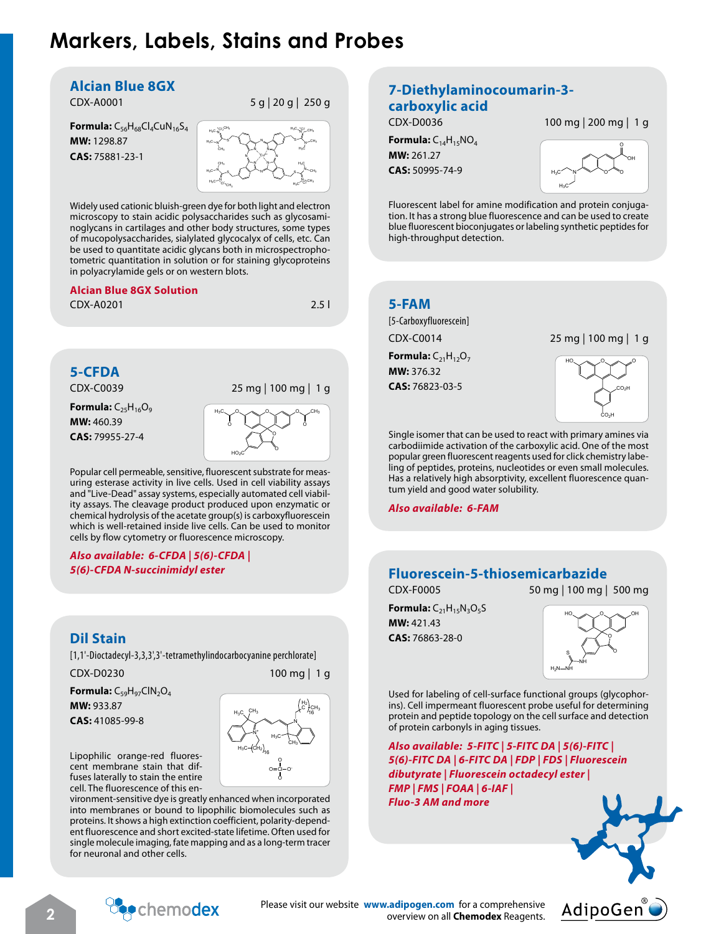# **Markers, Labels, Stains and Probes**

#### **Alcian Blue 8GX**

**Formula:** C<sub>56</sub>H<sub>68</sub>Cl<sub>4</sub>CuN<sub>16</sub>S<sub>4</sub> **MW:** 1298.87 **CAS:** 75881-23-1



Widely used cationic bluish-green dye for both light and electron microscopy to stain acidic polysaccharides such as glycosaminoglycans in cartilages and other body structures, some types of mucopolysaccharides, sialylated glycocalyx of cells, etc. Can be used to quantitate acidic glycans both in microspectrophotometric quantitation in solution or for staining glycoproteins in polyacrylamide gels or on western blots.

#### **Alcian Blue 8GX Solution**

CDX-A0201 2.5 l

# **5-CFDA**

**Formula:** C<sub>25</sub>H<sub>16</sub>O<sub>9</sub> **MW:** 460.39 **CAS:** 79955-27-4



Popular cell permeable, sensitive, fluorescent substrate for measuring esterase activity in live cells. Used in cell viability assays and "Live-Dead" assay systems, especially automated cell viability assays. The cleavage product produced upon enzymatic or chemical hydrolysis of the acetate group(s) is carboxyfluorescein which is well-retained inside live cells. Can be used to monitor cells by flow cytometry or fluorescence microscopy.

#### *Also available: 6-CFDA | 5(6)-CFDA | 5(6)-CFDA N-succinimidyl ester*

## **Dil Stain**

[1,1'-Dioctadecyl-3,3,3',3'-tetramethylindocarbocyanine perchlorate]

CDX-D0230 100 mg | 1 g

**Formula:** C<sub>59</sub>H<sub>97</sub>ClN<sub>2</sub>O<sub>4</sub> **MW:** 933.87

**CAS:** 41085-99-8



Lipophilic orange-red fluorescent membrane stain that diffuses laterally to stain the entire cell. The fluorescence of this en-

vironment-sensitive dye is greatly enhanced when incorporated into membranes or bound to lipophilic biomolecules such as proteins. It shows a high extinction coefficient, polarity-dependent fluorescence and short excited-state lifetime. Often used for single molecule imaging, fate mapping and as a long-term tracer for neuronal and other cells.

## **7-Diethylaminocoumarin-3 carboxylic acid**

**Formula:** C14H15NO4

CDX-D0036 100 mg | 200 mg | 1 g

**MW:** 261.27 **CAS:** 50995-74-9



Fluorescent label for amine modification and protein conjugation. It has a strong blue fluorescence and can be used to create blue fluorescent bioconjugates or labeling synthetic peptides for high-throughput detection.

## **5-FAM**

[5-Carboxyfluorescein] **Formula:**  $C_{21}H_{12}O_7$ **MW:** 376.32

**CAS:** 76823-03-5

CDX-C0014 25 mg | 100 mg | 1 g



Single isomer that can be used to react with primary amines via carbodiimide activation of the carboxylic acid. One of the most popular green fluorescent reagents used for click chemistry labeling of peptides, proteins, nucleotides or even small molecules. Has a relatively high absorptivity, excellent fluorescence quantum yield and good water solubility.

*Also available: 6-FAM*

## **Fluorescein-5-thiosemicarbazide**

CDX-F0005 50 mg | 100 mg | 500 mg

**Formula:**  $C_{21}H_{15}N_3O_5S$ **MW:** 421.43 **CAS:** 76863-28-0



Used for labeling of cell-surface functional groups (glycophorins). Cell impermeant fluorescent probe useful for determining protein and peptide topology on the cell surface and detection of protein carbonyls in aging tissues.

*Also available: 5-FITC | 5-FITC DA | 5(6)-FITC | 5(6)-FITC DA | 6-FITC DA | FDP | FDS | Fluorescein dibutyrate | Fluorescein octadecyl ester | FMP | FMS | FOAA | 6-IAF | Fluo-3 AM and more*





Please visit our website **www.adipogen.com** for a comprehensive **2 2 overview on all Chemodex Chemodex Please visit our website <b>www.adipogen.com** for a comprehensive **Please visit our website www.adipogen.com** for a comprehensive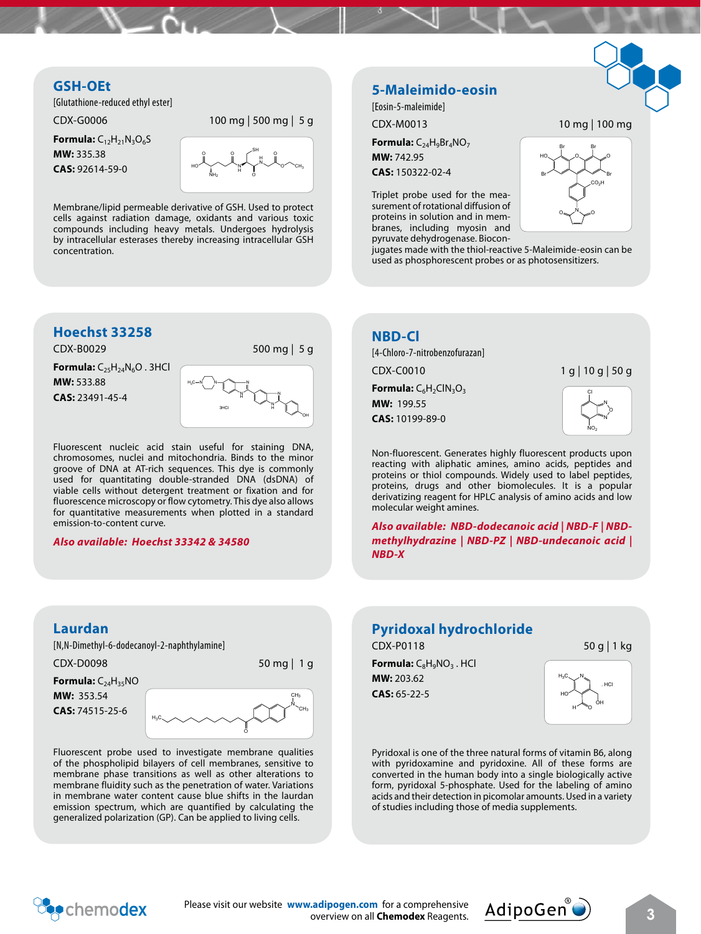## **GSH-OEt**

[Glutathione-reduced ethyl ester]

CDX-G0006 100 mg | 500 mg | 5 g

**Formula:** C<sub>12</sub>H<sub>21</sub>N<sub>3</sub>O<sub>6</sub>S **MW:** 335.38 **CAS:** 92614-59-0



Membrane/lipid permeable derivative of GSH. Used to protect cells against radiation damage, oxidants and various toxic compounds including heavy metals. Undergoes hydrolysis by intracellular esterases thereby increasing intracellular GSH concentration.

#### **Hoechst 33258**

CDX-B0029 500 mg | 5 g

**Formula:** C<sub>25</sub>H<sub>24</sub>N<sub>6</sub>O . 3HCl **MW:** 533.88

**CAS:** 23491-45-4



Fluorescent nucleic acid stain useful for staining DNA, chromosomes, nuclei and mitochondria. Binds to the minor groove of DNA at AT-rich sequences. This dye is commonly used for quantitating double-stranded DNA (dsDNA) of viable cells without detergent treatment or fixation and for fluorescence microscopy or flow cytometry. This dye also allows for quantitative measurements when plotted in a standard emission-to-content curve.

#### *Also available: Hoechst 33342 & 34580*

#### **5-Maleimido-eosin**

[Eosin-5-maleimide]

CDX-M0013 10 mg | 100 mg

**Formula:** C<sub>24</sub>H<sub>9</sub>Br<sub>4</sub>NO<sub>7</sub> **MW:** 742.95

**CAS:** 150322-02-4

Triplet probe used for the measurement of rotational diffusion of proteins in solution and in membranes, including myosin and pyruvate dehydrogenase. Biocon-



jugates made with the thiol-reactive 5-Maleimide-eosin can be used as phosphorescent probes or as photosensitizers.

#### **NBD-Cl**

[4-Chloro-7-nitrobenzofurazan]

CDX-C0010 1 g | 10 g | 50 g

**Formula:** C<sub>6</sub>H<sub>2</sub>ClN<sub>3</sub>O<sub>3</sub> **MW:** 199.55 **CAS:** 10199-89-0



N

 $NO<sub>2</sub>$ 

Non-fluorescent. Generates highly fluorescent products upon reacting with aliphatic amines, amino acids, peptides and proteins or thiol compounds. Widely used to label peptides, proteins, drugs and other biomolecules. It is a popular derivatizing reagent for HPLC analysis of amino acids and low molecular weight amines.

*Also available: NBD-dodecanoic acid | NBD-F | NBDmethylhydrazine | NBD-PZ | NBD-undecanoic acid | NBD-X*

#### **Laurdan**

[N,N-Dimethyl-6-dodecanoyl-2-naphthylamine]

CDX-D0098 50 mg | 1 g

**Formula:** C24H35NO **MW:** 353.54 **CAS:** 74515-25-6



Fluorescent probe used to investigate membrane qualities of the phospholipid bilayers of cell membranes, sensitive to membrane phase transitions as well as other alterations to membrane fluidity such as the penetration of water. Variations in membrane water content cause blue shifts in the laurdan emission spectrum, which are quantified by calculating the generalized polarization (GP). Can be applied to living cells.

#### **Pyridoxal hydrochloride**

CDX-P0118 50 g | 1 kg

**Formula:** C<sub>8</sub>H<sub>9</sub>NO<sub>3</sub>. HCl **MW:** 203.62 **CAS:** 65-22-5



Pyridoxal is one of the three natural forms of vitamin B6, along with pyridoxamine and pyridoxine. All of these forms are converted in the human body into a single biologically active form, pyridoxal 5-phosphate. Used for the labeling of amino acids and their detection in picomolar amounts. Used in a variety of studies including those of media supplements.



Please visit our website **www.adipogen.com** for a comprehensive **Cadipogen.com** for a comprehensive **AdipoGen**  $\bigcirc$  **3**